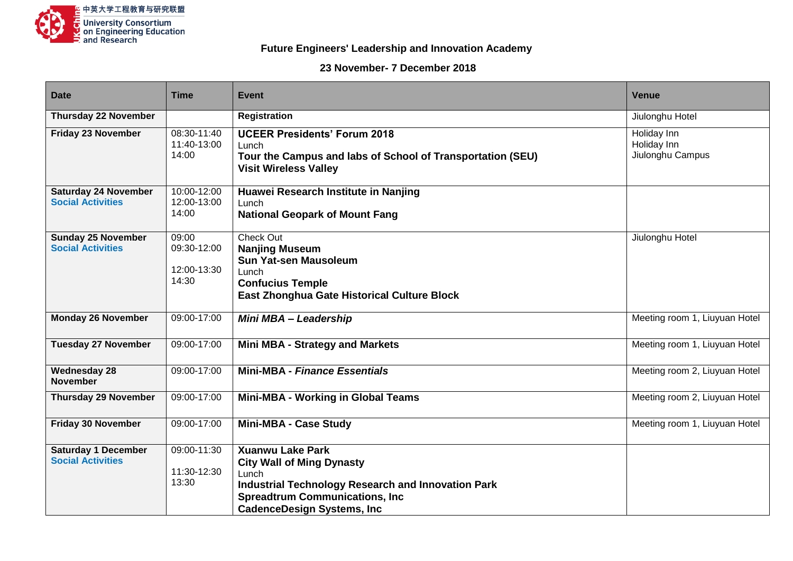

## **Future Engineers' Leadership and Innovation Academy**

## **23 November- 7 December 2018**

| <b>Date</b>                                             | <b>Time</b>                                  | <b>Event</b>                                                                                                                                                                                                      | <b>Venue</b>                                   |
|---------------------------------------------------------|----------------------------------------------|-------------------------------------------------------------------------------------------------------------------------------------------------------------------------------------------------------------------|------------------------------------------------|
| <b>Thursday 22 November</b>                             |                                              | <b>Registration</b>                                                                                                                                                                                               | Jiulonghu Hotel                                |
| <b>Friday 23 November</b>                               | 08:30-11:40<br>11:40-13:00<br>14:00          | <b>UCEER Presidents' Forum 2018</b><br>Lunch<br>Tour the Campus and labs of School of Transportation (SEU)<br><b>Visit Wireless Valley</b>                                                                        | Holiday Inn<br>Holiday Inn<br>Jiulonghu Campus |
| <b>Saturday 24 November</b><br><b>Social Activities</b> | 10:00-12:00<br>12:00-13:00<br>14:00          | Huawei Research Institute in Nanjing<br>Lunch<br><b>National Geopark of Mount Fang</b>                                                                                                                            |                                                |
| <b>Sunday 25 November</b><br><b>Social Activities</b>   | 09:00<br>09:30-12:00<br>12:00-13:30<br>14:30 | Check Out<br><b>Nanjing Museum</b><br><b>Sun Yat-sen Mausoleum</b><br>Lunch<br><b>Confucius Temple</b><br><b>East Zhonghua Gate Historical Culture Block</b>                                                      | Jiulonghu Hotel                                |
| <b>Monday 26 November</b>                               | 09:00-17:00                                  | Mini MBA - Leadership                                                                                                                                                                                             | Meeting room 1, Liuyuan Hotel                  |
| <b>Tuesday 27 November</b>                              | 09:00-17:00                                  | <b>Mini MBA - Strategy and Markets</b>                                                                                                                                                                            | Meeting room 1, Liuyuan Hotel                  |
| <b>Wednesday 28</b><br><b>November</b>                  | 09:00-17:00                                  | <b>Mini-MBA - Finance Essentials</b>                                                                                                                                                                              | Meeting room 2, Liuyuan Hotel                  |
| <b>Thursday 29 November</b>                             | 09:00-17:00                                  | Mini-MBA - Working in Global Teams                                                                                                                                                                                | Meeting room 2, Liuyuan Hotel                  |
| <b>Friday 30 November</b>                               | 09:00-17:00                                  | <b>Mini-MBA - Case Study</b>                                                                                                                                                                                      | Meeting room 1, Liuyuan Hotel                  |
| <b>Saturday 1 December</b><br><b>Social Activities</b>  | 09:00-11:30<br>11:30-12:30<br>13:30          | <b>Xuanwu Lake Park</b><br><b>City Wall of Ming Dynasty</b><br>Lunch<br><b>Industrial Technology Research and Innovation Park</b><br><b>Spreadtrum Communications, Inc.</b><br><b>CadenceDesign Systems, Inc.</b> |                                                |